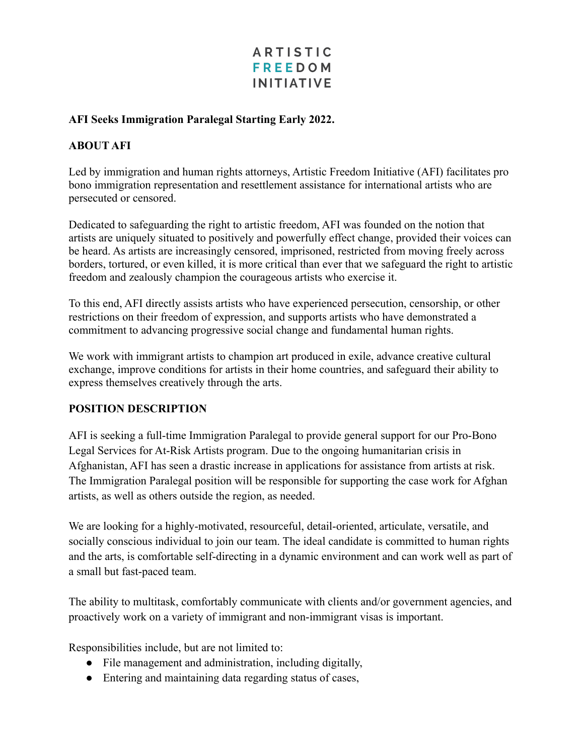## **ARTISTIC FREEDOM INITIATIVE**

#### **AFI Seeks Immigration Paralegal Starting Early 2022.**

### **ABOUT AFI**

Led by immigration and human rights attorneys, Artistic Freedom Initiative (AFI) facilitates pro bono immigration representation and resettlement assistance for international artists who are persecuted or censored.

Dedicated to safeguarding the right to artistic freedom, AFI was founded on the notion that artists are uniquely situated to positively and powerfully effect change, provided their voices can be heard. As artists are increasingly censored, imprisoned, restricted from moving freely across borders, tortured, or even killed, it is more critical than ever that we safeguard the right to artistic freedom and zealously champion the courageous artists who exercise it.

To this end, AFI directly assists artists who have experienced persecution, censorship, or other restrictions on their freedom of expression, and supports artists who have demonstrated a commitment to advancing progressive social change and fundamental human rights.

We work with immigrant artists to champion art produced in exile, advance creative cultural exchange, improve conditions for artists in their home countries, and safeguard their ability to express themselves creatively through the arts.

#### **POSITION DESCRIPTION**

AFI is seeking a full-time Immigration Paralegal to provide general support for our Pro-Bono Legal Services for At-Risk Artists program. Due to the ongoing humanitarian crisis in Afghanistan, AFI has seen a drastic increase in applications for assistance from artists at risk. The Immigration Paralegal position will be responsible for supporting the case work for Afghan artists, as well as others outside the region, as needed.

We are looking for a highly-motivated, resourceful, detail-oriented, articulate, versatile, and socially conscious individual to join our team. The ideal candidate is committed to human rights and the arts, is comfortable self-directing in a dynamic environment and can work well as part of a small but fast-paced team.

The ability to multitask, comfortably communicate with clients and/or government agencies, and proactively work on a variety of immigrant and non-immigrant visas is important.

Responsibilities include, but are not limited to:

- File management and administration, including digitally,
- Entering and maintaining data regarding status of cases,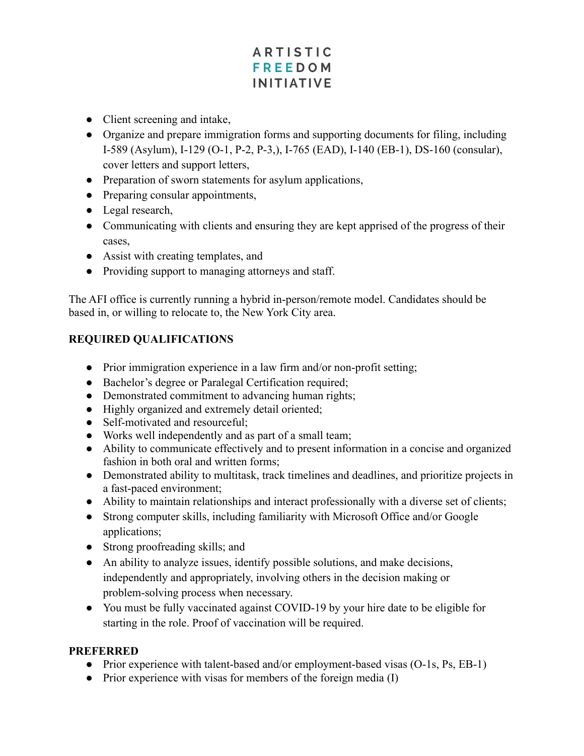# **ARTISTIC FREEDOM INITIATIVE**

- Client screening and intake,
- Organize and prepare immigration forms and supporting documents for filing, including I-589 (Asylum), I-129 (O-1, P-2, P-3,), I-765 (EAD), I-140 (EB-1), DS-160 (consular), cover letters and support letters,
- Preparation of sworn statements for asylum applications,
- Preparing consular appointments,
- Legal research,
- Communicating with clients and ensuring they are kept apprised of the progress of their cases,
- Assist with creating templates, and
- Providing support to managing attorneys and staff.

The AFI office is currently running a hybrid in-person/remote model. Candidates should be based in, or willing to relocate to, the New York City area.

## **REQUIRED QUALIFICATIONS**

- Prior immigration experience in a law firm and/or non-profit setting;
- Bachelor's degree or Paralegal Certification required;
- Demonstrated commitment to advancing human rights;
- Highly organized and extremely detail oriented;
- Self-motivated and resourceful:
- Works well independently and as part of a small team;
- Ability to communicate effectively and to present information in a concise and organized fashion in both oral and written forms;
- Demonstrated ability to multitask, track timelines and deadlines, and prioritize projects in a fast-paced environment;
- Ability to maintain relationships and interact professionally with a diverse set of clients;
- Strong computer skills, including familiarity with Microsoft Office and/or Google applications;
- Strong proofreading skills; and
- An ability to analyze issues, identify possible solutions, and make decisions, independently and appropriately, involving others in the decision making or problem-solving process when necessary.
- You must be fully vaccinated against COVID-19 by your hire date to be eligible for starting in the role. Proof of vaccination will be required.

### **PREFERRED**

- Prior experience with talent-based and/or employment-based visas (O-1s, Ps, EB-1)
- Prior experience with visas for members of the foreign media (I)